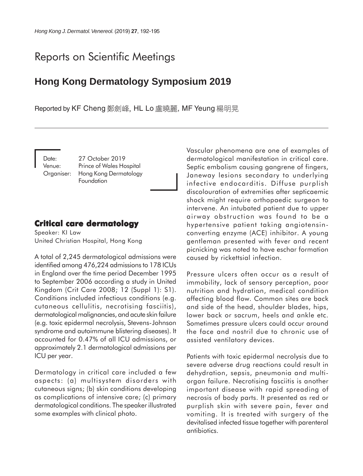# Reports on Scientific Meetings

# **Hong Kong Dermatology Symposium 2019**

Reported by KF Cheng 鄭劍峰, HL Lo 盧曉麗, MF Yeung 楊明晃

Date: 27 October 2019 Venue: Prince of Wales Hospital Organiser: Hong Kong Dermatology Foundation

## **Critical care dermatology**

Speaker: KI Law United Christian Hospital, Hong Kong

A total of 2,245 dermatological admissions were identified among 476,224 admissions to 178 ICUs in England over the time period December 1995 to September 2006 according a study in United Kingdom (Crit Care 2008; 12 (Suppl 1): S1). Conditions included infectious conditions (e.g. cutaneous cellulitis, necrotising fasciitis), dermatological malignancies, and acute skin failure (e.g. toxic epidermal necrolysis, Stevens-Johnson syndrome and autoimmune blistering diseases). It accounted for 0.47% of all ICU admissions, or approximately 2.1 dermatological admissions per ICU per year.

Dermatology in critical care included a few aspects: (a) multisystem disorders with cutaneous signs; (b) skin conditions developing as complications of intensive care; (c) primary dermatological conditions. The speaker illustrated some examples with clinical photo.

Vascular phenomena are one of examples of dermatological manifestation in critical care. Septic embolism causing gangrene of fingers, Janeway lesions secondary to underlying infective endocarditis. Diffuse purplish discolouration of extremities after septicaemic shock might require orthopaedic surgeon to intervene. An intubated patient due to upper airway obstruction was found to be a hypertensive patient taking angiotensinconverting enzyme (ACE) inhibitor. A young gentleman presented with fever and recent picnicking was noted to have eschar formation caused by rickettsial infection.

Pressure ulcers often occur as a result of immobility, lack of sensory perception, poor nutrition and hydration, medical condition affecting blood flow. Common sites are back and side of the head, shoulder blades, hips, lower back or sacrum, heels and ankle etc. Sometimes pressure ulcers could occur around the face and nostril due to chronic use of assisted ventilatory devices.

Patients with toxic epidermal necrolysis due to severe adverse drug reactions could result in dehydration, sepsis, pneumonia and multiorgan failure. Necrotising fasciitis is another important disease with rapid spreading of necrosis of body parts. It presented as red or purplish skin with severe pain, fever and vomiting. It is treated with surgery of the devitalised infected tissue together with parenteral antibiotics.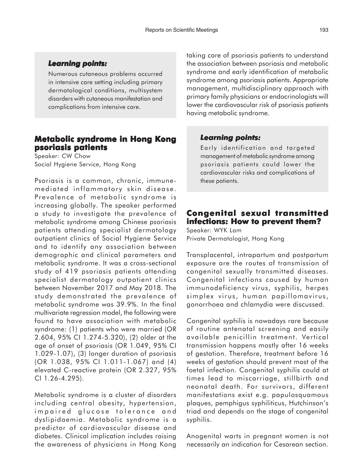#### *Learning points: Learning points:*

Numerous cutaneous problems occurred in intensive care setting including primary dermatological conditions, multisystem disorders with cutaneous manifestation and complications from intensive care.

### **Metabolic syndrome in Hong Kong psoriasis patients**

Speaker: CW Chow Social Hygiene Service, Hong Kong

Psoriasis is a common, chronic, immunemediated inflammatory skin disease. Prevalence of metabolic syndrome is increasing globally. The speaker performed a study to investigate the prevalence of metabolic syndrome among Chinese psoriasis patients attending specialist dermatology outpatient clinics of Social Hygiene Service and to identify any association between demographic and clinical parameters and metabolic syndrome. It was a cross-sectional study of 419 psoriasis patients attending specialist dermatology outpatient clinics between November 2017 and May 2018. The study demonstrated the prevalence of metabolic syndrome was 39.9%. In the final multivariate regression model, the following were found to have association with metabolic syndrome: (1) patients who were married (OR 2.604, 95% CI 1.274-5.320), (2) older at the age of onset of psoriasis (OR 1.049, 95% CI 1.029-1.07), (3) longer duration of psoriasis (OR 1.038, 95% CI 1.011-1.067) and (4) elevated C-reactive protein (OR 2.327, 95% CI 1.26-4.295).

Metabolic syndrome is a cluster of disorders including central obesity, hypertension, impaired glucose tolerance and dyslipidaemia. Metabolic syndrome is a predictor of cardiovascular disease and diabetes. Clinical implication includes raising the awareness of physicians in Hong Kong

taking care of psoriasis patients to understand the association between psoriasis and metabolic syndrome and early identification of metabolic syndrome among psoriasis patients. Appropriate management, multidisciplinary approach with primary family physicians or endocrinologists will lower the cardiovascular risk of psoriasis patients having metabolic syndrome.

#### *Learning points: Learning points:*

Early identification and targeted management of metabolic syndrome among psoriasis patients could lower the cardiovascular risks and complications of these patients.

## **Congenital sexual transmitted infections: How to prevent them?**

Speaker: WYK Lam Private Dermatologist, Hong Kong

Transplacental, intrapartum and postpartum exposure are the routes of transmission of congenital sexually transmitted diseases. Congenital infections caused by human immunodeficiency virus, syphilis, herpes simplex virus, human papillomavirus, gonorrhoea and chlamydia were discussed.

Congenital syphilis is nowadays rare because of routine antenatal screening and easily available penicillin treatment. Vertical transmission happens mostly after 16 weeks of gestation. Therefore, treatment before 16 weeks of gestation should prevent most of the foetal infection. Congenital syphilis could at times lead to miscarriage, stillbirth and neonatal death. For survivors, different manifestations exist e.g. papulosquamous plaques, pemphigus syphiliticus, Hutchinson's triad and depends on the stage of congenital syphilis.

Anogenital warts in pregnant women is not necessarily an indication for Cesarean section.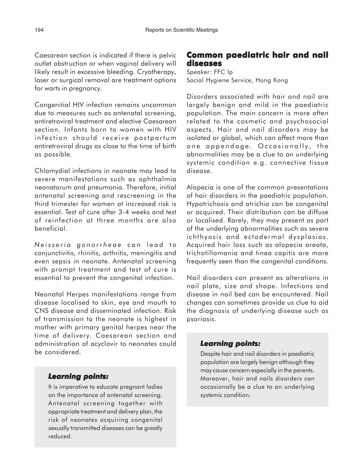Caesarean section is indicated if there is pelvic outlet obstruction or when vaginal delivery will likely result in excessive bleeding. Cryotherapy, laser or surgical removal are treatment options for warts in pregnancy.

Congenitial HIV infection remains uncommon due to measures such as antenatal screening, antiretroviral treatment and elective Caesarean section. Infants born to women with HIV infection should receive postpartum antiretroviral drugs as close to the time of birth as possible.

Chlamydial infections in neonate may lead to severe manifestations such as ophthalmia neonatorum and pneumonia. Therefore, initial antenatal screening and rescreening in the third trimester for women at increased risk is essential. Test of cure after 3-4 weeks and test of reinfection at three months are also beneficial.

*Neisseria gonorrheae* can lead to conjunctivitis, rhinitis, arthritis, meningitis and even sepsis in neonate. Antenatal screening with prompt treatment and test of cure is essential to prevent the congenital infection.

Neonatal Herpes manifestations range from disease localised to skin, eye and mouth to CNS disease and disseminated infection. Risk of transmission to the neonate is highest in mother with primary genital herpes near the time of delivery. Caesarean section and administration of acyclovir to neonates could be considered.

## *Learning points: Learning points:*

It is imperative to educate pregnant ladies on the importance of antenatal screening. Antenatal screening together with appropriate treatment and delivery plan, the risk of neonates acquiring congenital sexually transmitted diseases can be greatly reduced.

## **Common paediatric hair and nail paediatric and nail diseases diseasesdiseases**

Speaker: FFC Ip Social Hygiene Service, Hong Kong

Disorders associated with hair and nail are largely benign and mild in the paediatric population. The main concern is more often related to the cosmetic and psychosocial aspects. Hair and nail disorders may be isolated or global, which can affect more than one appendage. Occasionally, the abnormalities may be a clue to an underlying systemic condition e.g. connective tissue disease.

Alopecia is one of the common presentations of hair disorders in the paediatric population. Hypotrichosis and atrichia can be congenital or acquired. Their distribution can be diffuse or localised. Rarely, they may present as part of the underlying abnormalities such as severe ichthyosis and ectodermal dysplasias. Acquired hair loss such as alopecia areata, trichotillomania and tinea capitis are more frequently seen than the congenital conditions.

Nail disorders can present as alterations in nail plate, size and shape. Infections and disease in nail bed can be encountered. Nail changes can sometimes provide us clue to aid the diagnosis of underlying disease such as psoriasis.

#### *Learning points: Learning points:*

Despite hair and nail disorders in paediatric population are largely benign although they may cause concern especially in the parents. Moreover, hair and nails disorders can occasionally be a clue to an underlying systemic condition.